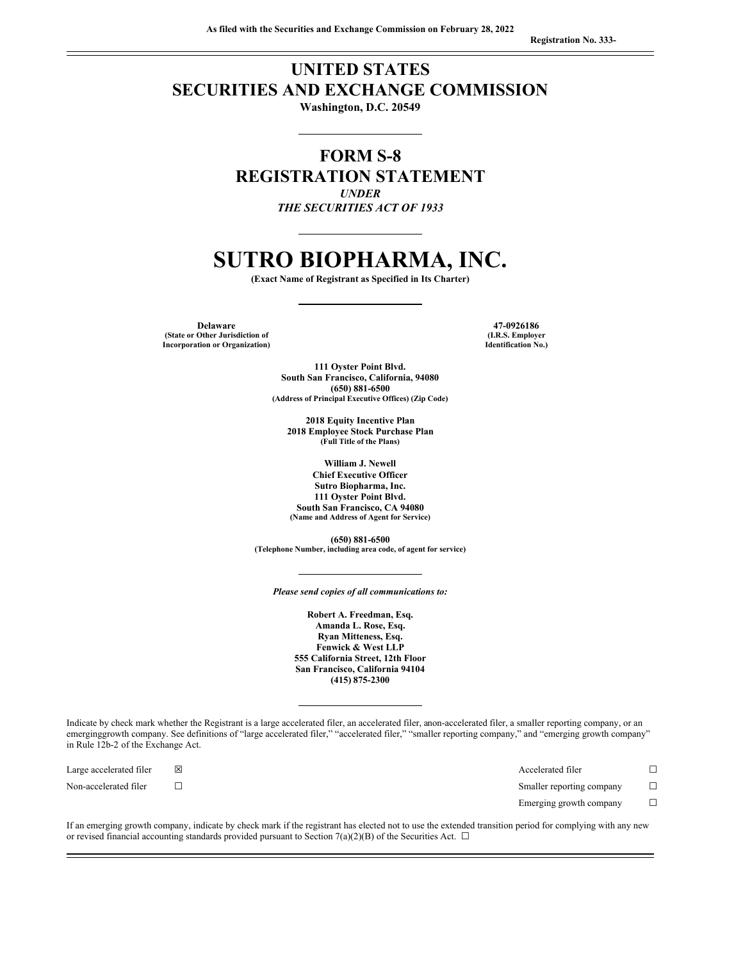**Registration No. 333-**

# **UNITED STATES SECURITIES AND EXCHANGE COMMISSION**

**Washington, D.C. 20549**

**FORM S-8 REGISTRATION STATEMENT** *UNDER*

*THE SECURITIES ACT OF 1933*

# **SUTRO BIOPHARMA, INC.**

**(Exact Name of Registrant as Specified in Its Charter)**

**Delaware 47-0926186 (State or Other Jurisdiction of (I.R.S. Employer Incorporation** or **Organization**)

**111 Oyster Point Blvd. South San Francisco, California, 94080 (650) 881-6500 (Address of Principal Executive Offices) (Zip Code)**

**2018 Equity Incentive Plan 2018 Employee Stock Purchase Plan (Full Title of the Plans)**

**William J. Newell Chief Executive Officer Sutro Biopharma, Inc. 111 Oyster Point Blvd. South San Francisco, CA 94080 (Name and Address of Agent for Service)**

**(650) 881-6500 (Telephone Number, including area code, of agent for service)**

*Please send copies of all communications to:*

**Robert A. Freedman, Esq. Amanda L. Rose, Esq. Ryan Mitteness, Esq. Fenwick & West LLP 555 California Street, 12th Floor San Francisco, California 94104 (415) 875-2300**

Indicate by check mark whether the Registrant is a large accelerated filer, an accelerated filer, anon-accelerated filer, a smaller reporting company, or an emerginggrowth company. See definitions of "large accelerated filer," "accelerated filer," "smaller reporting company," and "emerging growth company" in Rule 12b-2 of the Exchange Act.

| Large accelerated filer | X | Accelerated filer         |  |
|-------------------------|---|---------------------------|--|
| Non-accelerated filer   |   | Smaller reporting company |  |
|                         |   | Emerging growth company   |  |

If an emerging growth company, indicate by check mark if the registrant has elected not to use the extended transition period for complying with any new or revised financial accounting standards provided pursuant to Section 7(a)(2)(B) of the Securities Act.  $\Box$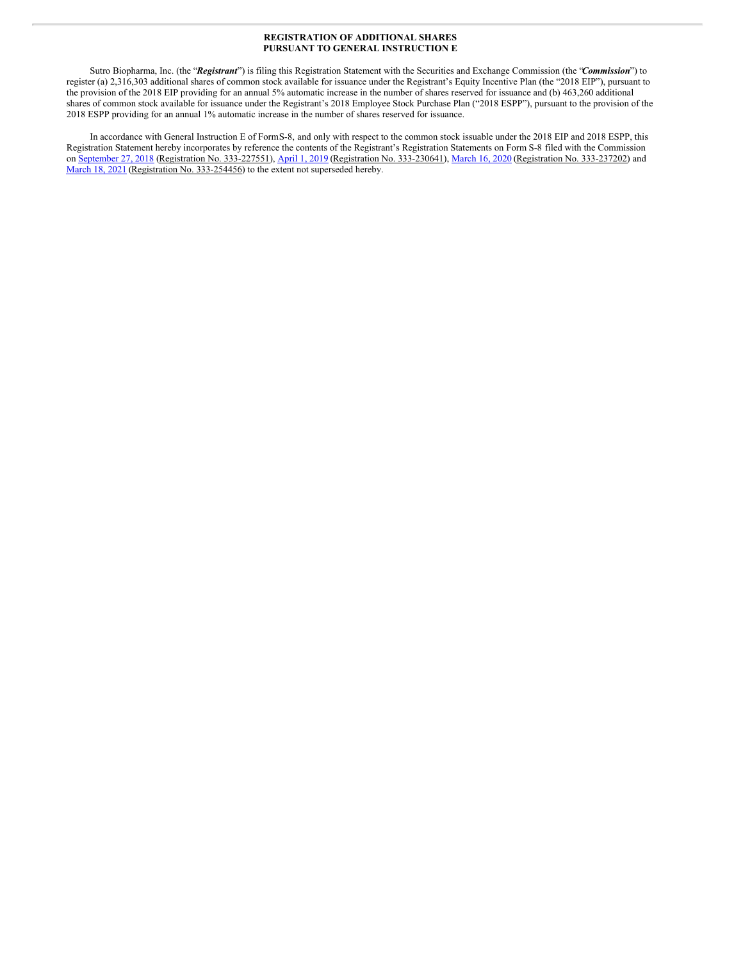#### **REGISTRATION OF ADDITIONAL SHARES PURSUANT TO GENERAL INSTRUCTION E**

Sutro Biopharma, Inc. (the "*Registrant*") is filing this Registration Statement with the Securities and Exchange Commission (the "*Commission*") to register (a) 2,316,303 additional shares of common stock available for issuance under the Registrant's Equity Incentive Plan (the "2018 EIP"), pursuant to the provision of the 2018 EIP providing for an annual 5% automatic increase in the number of shares reserved for issuance and (b) 463,260 additional shares of common stock available for issuance under the Registrant's 2018 Employee Stock Purchase Plan ("2018 ESPP"), pursuant to the provision of the 2018 ESPP providing for an annual 1% automatic increase in the number of shares reserved for issuance.

In accordance with General Instruction E of FormS-8, and only with respect to the common stock issuable under the 2018 EIP and 2018 ESPP, this Registration Statement hereby incorporates by reference the contents of the Registrant's Registration Statements on Form S-8 filed with the Commission on [September](http://www.sec.gov/Archives/edgar/data/1382101/000119312518284330/d596360ds8.htm) 27, 2018 (Registration No. 333-227551), [April](http://www.sec.gov/Archives/edgar/data/1382101/000156459019010261/stro-s8.htm) 1, 2019 (Registration No. 333-230641), [March](http://www.sec.gov/Archives/edgar/data/1382101/000156459020011175/stro-s8.htm) 16, 2020 (Registration No. 333-237202) and [March](http://www.sec.gov/Archives/edgar/data/1382101/000156459021014197/stro-s8.htm) 18, 2021 (Registration No. 333-254456) to the extent not superseded hereby.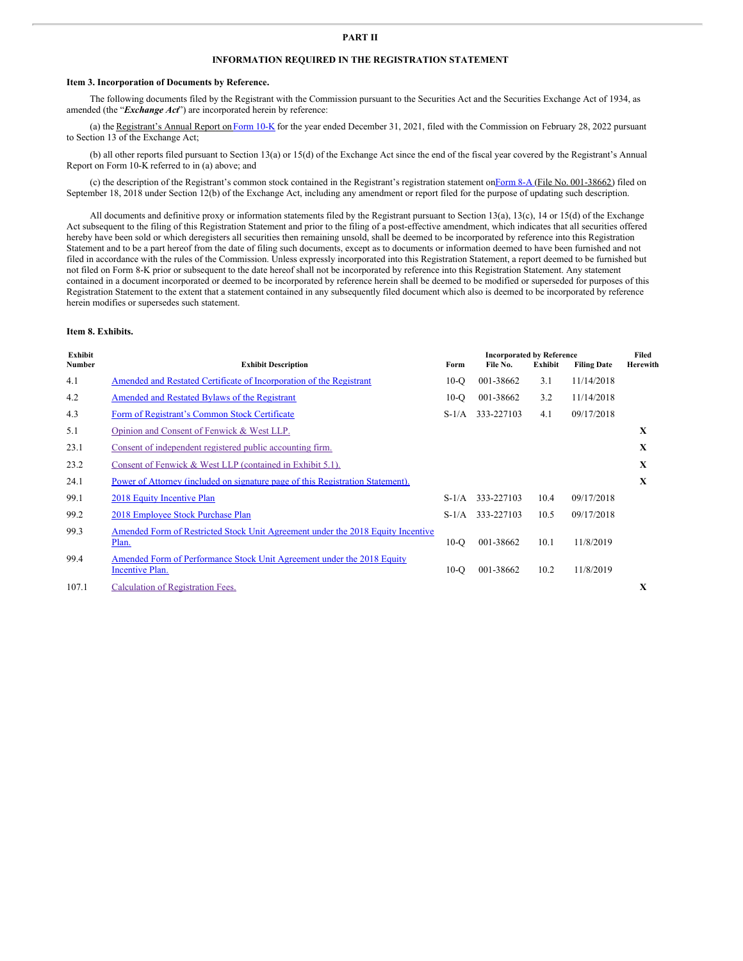# **INFORMATION REQUIRED IN THE REGISTRATION STATEMENT**

#### **Item 3. Incorporation of Documents by Reference.**

The following documents filed by the Registrant with the Commission pursuant to the Securities Act and the Securities Exchange Act of 1934, as amended (the "*Exchange Act*") are incorporated herein by reference:

(a) the Registrant's Annual Report on [Form](http://www.sec.gov/ix?doc=/Archives/edgar/data/1382101/000095017022002312/stro-20211231.htm) 10-K for the year ended December 31, 2021, filed with the Commission on February 28, 2022 pursuant to Section 13 of the Exchange Act;

(b) all other reports filed pursuant to Section 13(a) or 15(d) of the Exchange Act since the end of the fiscal year covered by the Registrant's Annual Report on Form 10-K referred to in (a) above; and

(c) the description of the Registrant's common stock contained in the Registrant's registration statement o[nForm](http://www.sec.gov/Archives/edgar/data/1382101/000119312518276375/d619593d8a12b.htm) 8-A (File No. 001-38662) filed on September 18, 2018 under Section 12(b) of the Exchange Act, including any amendment or report filed for the purpose of updating such description.

All documents and definitive proxy or information statements filed by the Registrant pursuant to Section 13(a), 13(c), 14 or 15(d) of the Exchange Act subsequent to the filing of this Registration Statement and prior to the filing of a post-effective amendment, which indicates that all securities offered hereby have been sold or which deregisters all securities then remaining unsold, shall be deemed to be incorporated by reference into this Registration Statement and to be a part hereof from the date of filing such documents, except as to documents or information deemed to have been furnished and not filed in accordance with the rules of the Commission. Unless expressly incorporated into this Registration Statement, a report deemed to be furnished but not filed on Form 8-K prior or subsequent to the date hereof shall not be incorporated by reference into this Registration Statement. Any statement contained in a document incorporated or deemed to be incorporated by reference herein shall be deemed to be modified or superseded for purposes of this Registration Statement to the extent that a statement contained in any subsequently filed document which also is deemed to be incorporated by reference herein modifies or supersedes such statement.

#### **Item 8. Exhibits.**

| Exhibit       |                                                                                           |         | Filed      |                |                    |          |
|---------------|-------------------------------------------------------------------------------------------|---------|------------|----------------|--------------------|----------|
| <b>Number</b> | <b>Exhibit Description</b>                                                                | Form    | File No.   | <b>Exhibit</b> | <b>Filing Date</b> | Herewith |
| 4.1           | Amended and Restated Certificate of Incorporation of the Registrant                       | $10-°$  | 001-38662  | 3.1            | 11/14/2018         |          |
| 4.2           | <b>Amended and Restated Bylaws of the Registrant</b>                                      | $10-°$  | 001-38662  | 3.2            | 11/14/2018         |          |
| 4.3           | Form of Registrant's Common Stock Certificate                                             | $S-1/A$ | 333-227103 | 4.1            | 09/17/2018         |          |
| 5.1           | Opinion and Consent of Fenwick & West LLP.                                                |         |            |                |                    | X        |
| 23.1          | Consent of independent registered public accounting firm.                                 |         |            |                |                    | X        |
| 23.2          | Consent of Fenwick & West LLP (contained in Exhibit 5.1).                                 |         |            |                |                    | X        |
| 24.1          | Power of Attorney (included on signature page of this Registration Statement).            |         |            |                |                    | X        |
| 99.1          | 2018 Equity Incentive Plan                                                                | $S-1/A$ | 333-227103 | 10.4           | 09/17/2018         |          |
| 99.2          | 2018 Employee Stock Purchase Plan                                                         | $S-1/A$ | 333-227103 | 10.5           | 09/17/2018         |          |
| 99.3          | Amended Form of Restricted Stock Unit Agreement under the 2018 Equity Incentive<br>Plan.  | $10-o$  | 001-38662  | 10.1           | 11/8/2019          |          |
| 99.4          | Amended Form of Performance Stock Unit Agreement under the 2018 Equity<br>Incentive Plan. | $10-O$  | 001-38662  | 10.2           | 11/8/2019          |          |
| 107.1         | Calculation of Registration Fees.                                                         |         |            |                |                    | X        |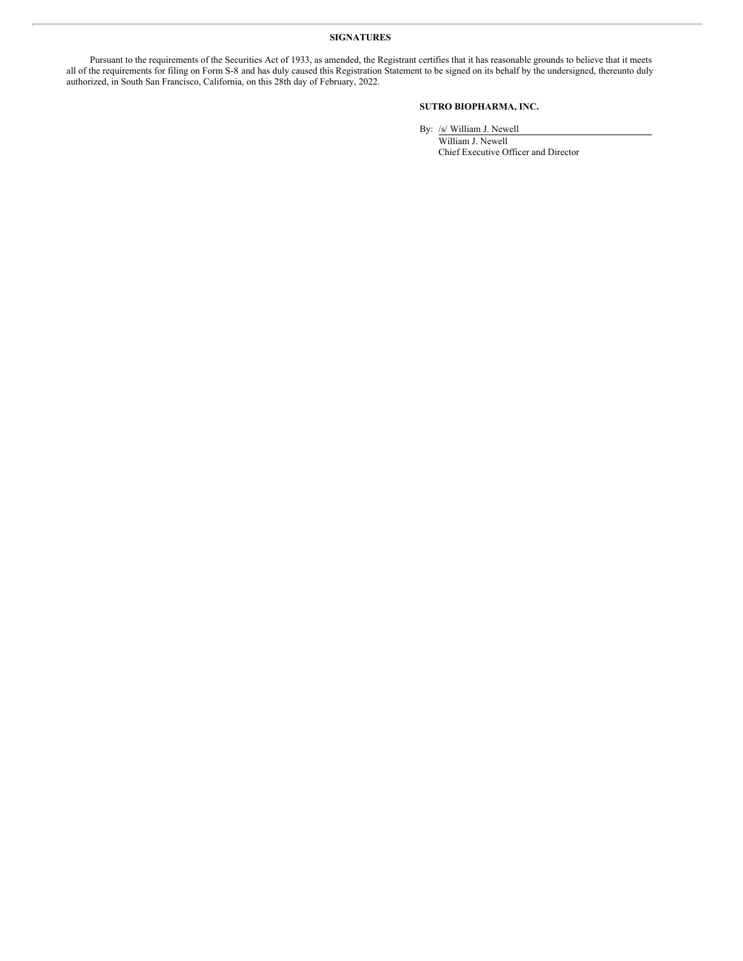## **SIGNATURES**

Pursuant to the requirements of the Securities Act of 1933, as amended, the Registrant certifies that it has reasonable grounds to believe that it meets all of the requirements for filing on Form S-8 and has duly caused this Registration Statement to be signed on its behalf by the undersigned, thereunto duly authorized, in South San Francisco, California, on this 28th day of February, 2022.

# **SUTRO BIOPHARMA, INC.**

By: /s/ William J. Newell

William J. Newell Chief Executive Officer and Director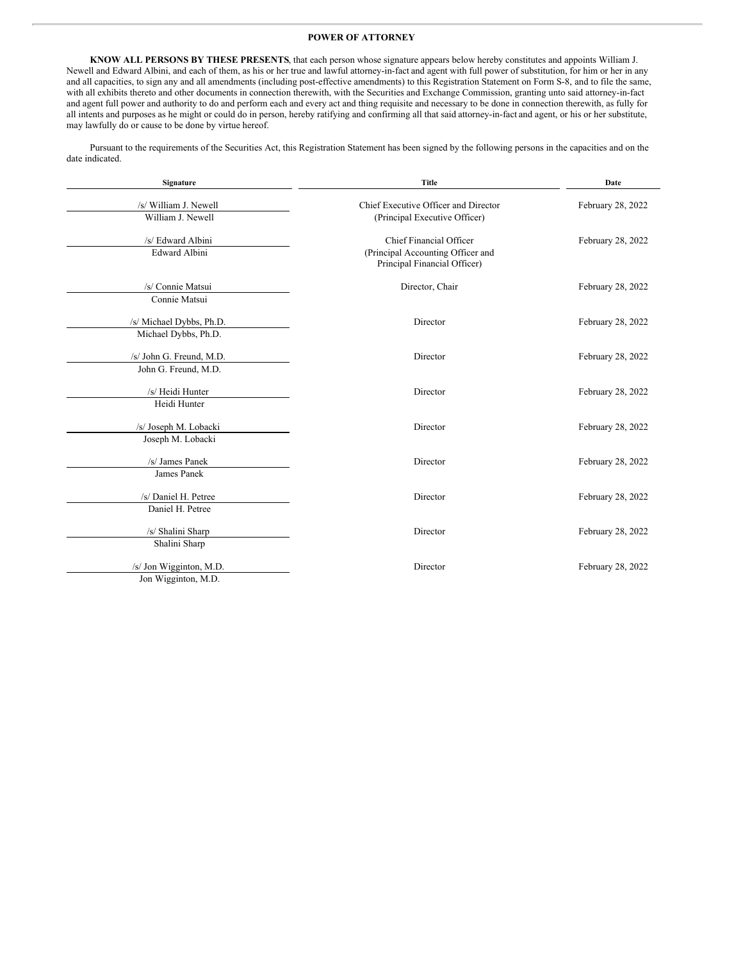#### <span id="page-4-0"></span>**POWER OF ATTORNEY**

**KNOW ALL PERSONS BY THESE PRESENTS**, that each person whose signature appears below hereby constitutes and appoints William J. Newell and Edward Albini, and each of them, as his or her true and lawful attorney-in-fact and agent with full power of substitution, for him or her in any and all capacities, to sign any and all amendments (including post-effective amendments) to this Registration Statement on Form S-8, and to file the same, with all exhibits thereto and other documents in connection therewith, with the Securities and Exchange Commission, granting unto said attorney-in-fact and agent full power and authority to do and perform each and every act and thing requisite and necessary to be done in connection therewith, as fully for all intents and purposes as he might or could do in person, hereby ratifying and confirming all that said attorney-in-fact and agent, or his or her substitute, may lawfully do or cause to be done by virtue hereof.

Pursuant to the requirements of the Securities Act, this Registration Statement has been signed by the following persons in the capacities and on the date indicated.

| Signature                | <b>Title</b>                                                      | Date              |  |  |
|--------------------------|-------------------------------------------------------------------|-------------------|--|--|
| /s/ William J. Newell    | Chief Executive Officer and Director                              | February 28, 2022 |  |  |
| William J. Newell        | (Principal Executive Officer)                                     |                   |  |  |
| /s/ Edward Albini        | Chief Financial Officer                                           | February 28, 2022 |  |  |
| <b>Edward Albini</b>     | (Principal Accounting Officer and<br>Principal Financial Officer) |                   |  |  |
| /s/ Connie Matsui        | Director, Chair                                                   | February 28, 2022 |  |  |
| Connie Matsui            |                                                                   |                   |  |  |
| /s/ Michael Dybbs, Ph.D. | Director                                                          | February 28, 2022 |  |  |
| Michael Dybbs, Ph.D.     |                                                                   |                   |  |  |
| /s/ John G. Freund, M.D. | Director                                                          | February 28, 2022 |  |  |
| John G. Freund, M.D.     |                                                                   |                   |  |  |
| /s/ Heidi Hunter         | Director                                                          | February 28, 2022 |  |  |
| Heidi Hunter             |                                                                   |                   |  |  |
| /s/ Joseph M. Lobacki    | Director                                                          | February 28, 2022 |  |  |
| Joseph M. Lobacki        |                                                                   |                   |  |  |
| /s/ James Panek          | Director                                                          | February 28, 2022 |  |  |
| James Panek              |                                                                   |                   |  |  |
| /s/ Daniel H. Petree     | Director                                                          | February 28, 2022 |  |  |
| Daniel H. Petree         |                                                                   |                   |  |  |
| /s/ Shalini Sharp        | Director                                                          | February 28, 2022 |  |  |
| Shalini Sharp            |                                                                   |                   |  |  |
| /s/ Jon Wigginton, M.D.  | Director                                                          | February 28, 2022 |  |  |
| Jon Wigginton, M.D.      |                                                                   |                   |  |  |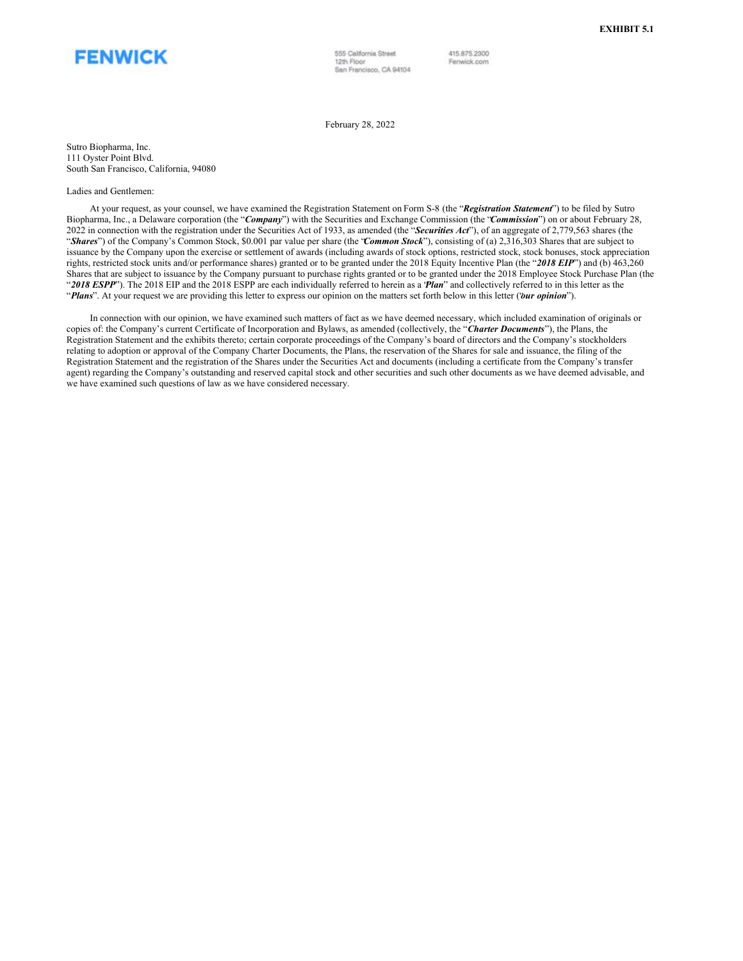

555 California Street 12th Floor San Francisco, CA 94104 415.875.2300

Fenwick.com

February 28, 2022

Sutro Biopharma, Inc. 111 Oyster Point Blvd. South San Francisco, California, 94080

#### Ladies and Gentlemen:

At your request, as your counsel, we have examined the Registration Statement on Form S-8 (the "*Registration Statement*") to be filed by Sutro Biopharma, Inc., a Delaware corporation (the "*Company*") with the Securities and Exchange Commission (the "*Commission*") on or about February 28, 2022 in connection with the registration under the Securities Act of 1933, as amended (the "*Securities Act*"), of an aggregate of 2,779,563 shares (the "*Shares*") of the Company's Common Stock, \$0.001 par value per share (the "*Common Stock*"), consisting of (a) 2,316,303 Shares that are subject to issuance by the Company upon the exercise or settlement of awards (including awards of stock options, restricted stock, stock bonuses, stock appreciation rights, restricted stock units and/or performance shares) granted or to be granted under the 2018 Equity Incentive Plan (the "*2018 EIP*") and (b) 463,260 Shares that are subject to issuance by the Company pursuant to purchase rights granted or to be granted under the 2018 Employee Stock Purchase Plan (the "*2018 ESPP*"). The 2018 EIP and the 2018 ESPP are each individually referred to herein as a "*Plan*" and collectively referred to in this letter as the "*Plans*". At your request we are providing this letter to express our opinion on the matters set forth below in this letter ("*our opinion*").

In connection with our opinion, we have examined such matters of fact as we have deemed necessary, which included examination of originals or copies of: the Company's current Certificate of Incorporation and Bylaws, as amended (collectively, the "*Charter Documents*"), the Plans, the Registration Statement and the exhibits thereto; certain corporate proceedings of the Company's board of directors and the Company's stockholders relating to adoption or approval of the Company Charter Documents, the Plans, the reservation of the Shares for sale and issuance, the filing of the Registration Statement and the registration of the Shares under the Securities Act and documents (including a certificate from the Company's transfer agent) regarding the Company's outstanding and reserved capital stock and other securities and such other documents as we have deemed advisable, and we have examined such questions of law as we have considered necessary.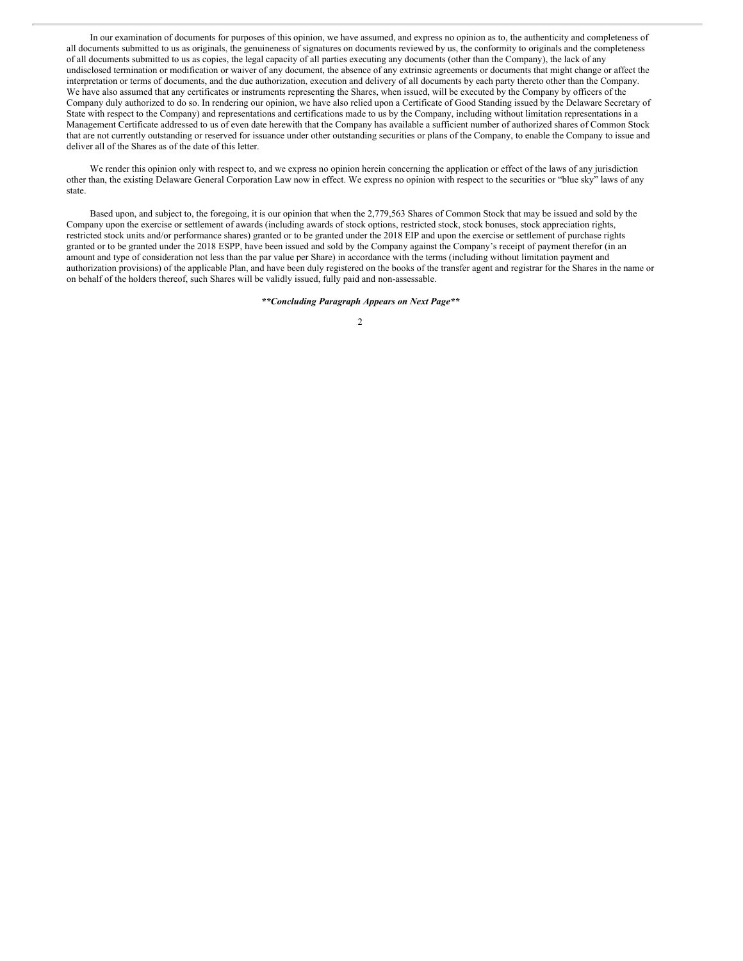<span id="page-6-0"></span>In our examination of documents for purposes of this opinion, we have assumed, and express no opinion as to, the authenticity and completeness of all documents submitted to us as originals, the genuineness of signatures on documents reviewed by us, the conformity to originals and the completeness of all documents submitted to us as copies, the legal capacity of all parties executing any documents (other than the Company), the lack of any undisclosed termination or modification or waiver of any document, the absence of any extrinsic agreements or documents that might change or affect the interpretation or terms of documents, and the due authorization, execution and delivery of all documents by each party thereto other than the Company. We have also assumed that any certificates or instruments representing the Shares, when issued, will be executed by the Company by officers of the Company duly authorized to do so. In rendering our opinion, we have also relied upon a Certificate of Good Standing issued by the Delaware Secretary of State with respect to the Company) and representations and certifications made to us by the Company, including without limitation representations in a Management Certificate addressed to us of even date herewith that the Company has available a sufficient number of authorized shares of Common Stock that are not currently outstanding or reserved for issuance under other outstanding securities or plans of the Company, to enable the Company to issue and deliver all of the Shares as of the date of this letter.

We render this opinion only with respect to, and we express no opinion herein concerning the application or effect of the laws of any jurisdiction other than, the existing Delaware General Corporation Law now in effect. We express no opinion with respect to the securities or "blue sky" laws of any state.

Based upon, and subject to, the foregoing, it is our opinion that when the 2,779,563 Shares of Common Stock that may be issued and sold by the Company upon the exercise or settlement of awards (including awards of stock options, restricted stock, stock bonuses, stock appreciation rights, restricted stock units and/or performance shares) granted or to be granted under the 2018 EIP and upon the exercise or settlement of purchase rights granted or to be granted under the 2018 ESPP, have been issued and sold by the Company against the Company's receipt of payment therefor (in an amount and type of consideration not less than the par value per Share) in accordance with the terms (including without limitation payment and authorization provisions) of the applicable Plan, and have been duly registered on the books of the transfer agent and registrar for the Shares in the name or on behalf of the holders thereof, such Shares will be validly issued, fully paid and non-assessable.

#### *\*\*Concluding Paragraph Appears on Next Page\*\**

 $\mathfrak{D}$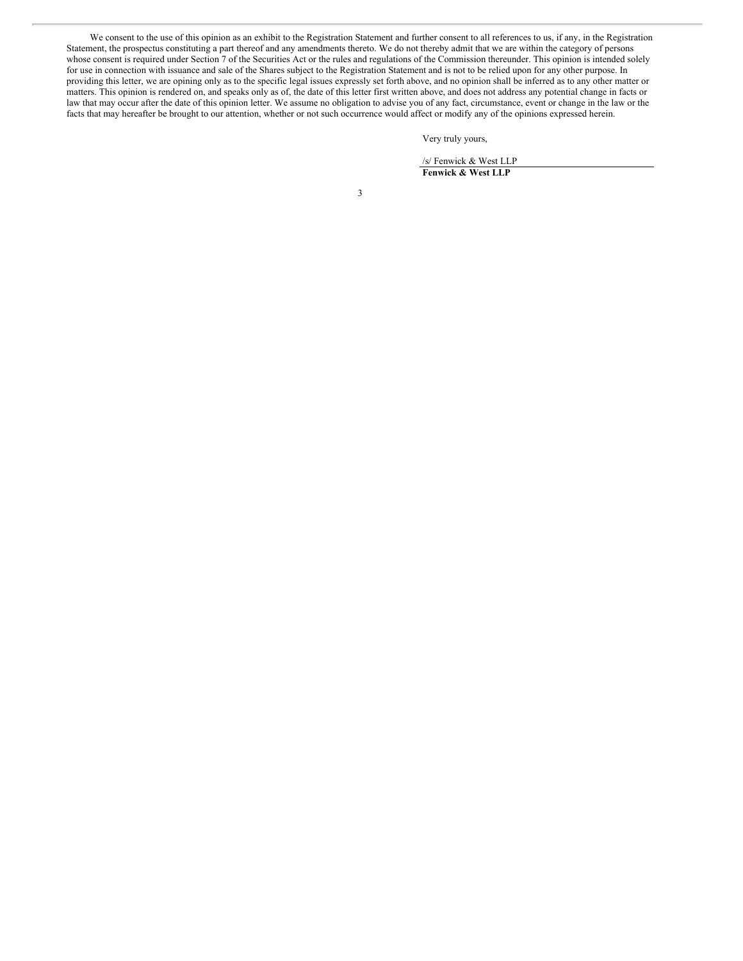We consent to the use of this opinion as an exhibit to the Registration Statement and further consent to all references to us, if any, in the Registration Statement, the prospectus constituting a part thereof and any amendments thereto. We do not thereby admit that we are within the category of persons whose consent is required under Section 7 of the Securities Act or the rules and regulations of the Commission thereunder. This opinion is intended solely for use in connection with issuance and sale of the Shares subject to the Registration Statement and is not to be relied upon for any other purpose. In providing this letter, we are opining only as to the specific legal issues expressly set forth above, and no opinion shall be inferred as to any other matter or matters. This opinion is rendered on, and speaks only as of, the date of this letter first written above, and does not address any potential change in facts or law that may occur after the date of this opinion letter. We assume no obligation to advise you of any fact, circumstance, event or change in the law or the facts that may hereafter be brought to our attention, whether or not such occurrence would affect or modify any of the opinions expressed herein.

Very truly yours,

/s/ Fenwick & West LLP **Fenwick & West LLP**

3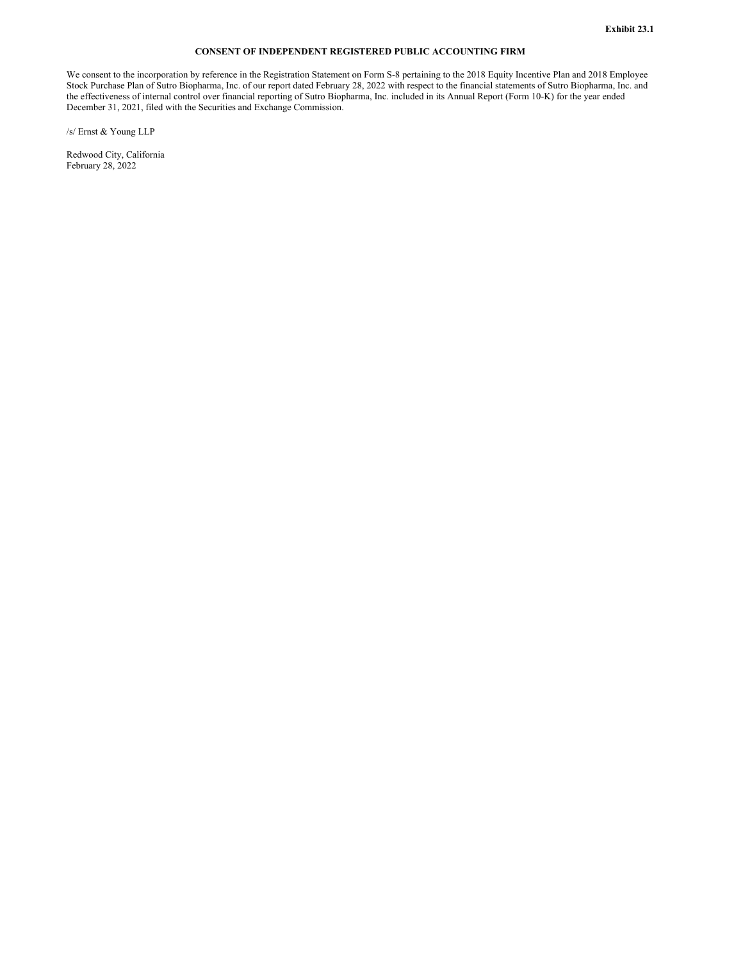### **CONSENT OF INDEPENDENT REGISTERED PUBLIC ACCOUNTING FIRM**

<span id="page-8-0"></span>We consent to the incorporation by reference in the Registration Statement on Form S-8 pertaining to the 2018 Equity Incentive Plan and 2018 Employee Stock Purchase Plan of Sutro Biopharma, Inc. of our report dated February 28, 2022 with respect to the financial statements of Sutro Biopharma, Inc. and the effectiveness of internal control over financial reporting of Sutro Biopharma, Inc. included in its Annual Report (Form 10-K) for the year ended December 31, 2021, filed with the Securities and Exchange Commission.

/s/ Ernst & Young LLP

Redwood City, California February 28, 2022